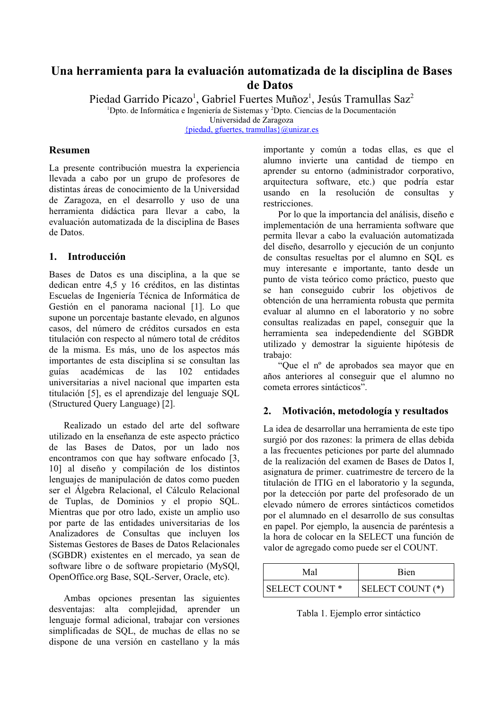# Una herramienta para la evaluación automatizada de la disciplina de Bases de Datos

Piedad Garrido Picazo<sup>1</sup>, Gabriel Fuertes Muñoz<sup>1</sup>, Jesús Tramullas Saz<sup>2</sup>

<sup>1</sup>Dpto. de Informática e Ingeniería de Sistemas y <sup>2</sup>Dpto. Ciencias de la Documentación Universidad de Zaragoza

{piedad, gfuertes, tramullas} $@$ unizar.es

# Resumen

La presente contribución muestra la experiencia llevada a cabo por un grupo de profesores de distintas áreas de conocimiento de la Universidad de Zaragoza, en el desarrollo y uso de una herramienta didáctica para llevar a cabo, la evaluación automatizada de la disciplina de Bases de Datos

# 1. Introducción

Bases de Datos es una disciplina, a la que se dedican entre 4,5 y 16 créditos, en las distintas Escuelas de Ingeniería Técnica de Informática de Gestión en el panorama nacional [1]. Lo que supone un porcentaje bastante elevado, en algunos casos, del número de créditos cursados en esta titulación con respecto al número total de créditos de la misma. Es más, uno de los aspectos más importantes de esta disciplina si se consultan las académicas de las 102 guías entidades universitarias a nivel nacional que imparten esta titulación [5], es el aprendizaje del lenguaje SQL (Structured Query Language) [2].

Realizado un estado del arte del software utilizado en la enseñanza de este aspecto práctico de las Bases de Datos, por un lado nos encontramos con que hay software enfocado [3, 10] al diseño y compilación de los distintos lenguajes de manipulación de datos como pueden ser el Álgebra Relacional, el Cálculo Relacional de Tuplas, de Dominios y el propio SQL. Mientras que por otro lado, existe un amplio uso por parte de las entidades universitarias de los Analizadores de Consultas que incluyen los Sistemas Gestores de Bases de Datos Relacionales (SGBDR) existentes en el mercado, ya sean de software libre o de software propietario (MySQl, OpenOffice.org Base, SQL-Server, Oracle, etc).

Ambas opciones presentan las siguientes desventajas: alta complejidad, aprender un lenguaje formal adicional, trabajar con versiones simplificadas de SQL, de muchas de ellas no se dispone de una versión en castellano y la más

importante y común a todas ellas, es que el alumno invierte una cantidad de tiempo en aprender su entorno (administrador corporativo, arquitectura software, etc.) que podría estar usando en la resolución de consultas y restricciones.

Por lo que la importancia del análisis, diseño e implementación de una herramienta software que permita llevar a cabo la evaluación automatizada del diseño, desarrollo y ejecución de un conjunto de consultas resueltas por el alumno en SOL es muy interesante e importante, tanto desde un punto de vista teórico como práctico, puesto que se han conseguido cubrir los objetivos de obtención de una herramienta robusta que permita evaluar al alumno en el laboratorio y no sobre consultas realizadas en papel, conseguir que la herramienta sea indepedendiente del SGBDR utilizado y demostrar la siguiente hipótesis de trabaio:

"Oue el nº de aprobados sea mayor que en años anteriores al conseguir que el alumno no cometa errores sintácticos".

#### 2. Motivación, metodología y resultados

La idea de desarrollar una herramienta de este tipo surgió por dos razones: la primera de ellas debida a las frecuentes peticiones por parte del alumnado de la realización del examen de Bases de Datos I. asignatura de primer. cuatrimestre de tercero de la titulación de ITIG en el laboratorio y la segunda, por la detección por parte del profesorado de un elevado número de errores sintácticos cometidos por el alumnado en el desarrollo de sus consultas en papel. Por ejemplo, la ausencia de paréntesis a la hora de colocar en la SELECT una función de valor de agregado como puede ser el COUNT.

| Mal                       | Bien             |
|---------------------------|------------------|
| SELECT COUNT <sup>*</sup> | SELECT COUNT (*) |

Tabla 1. Ejemplo error sintáctico